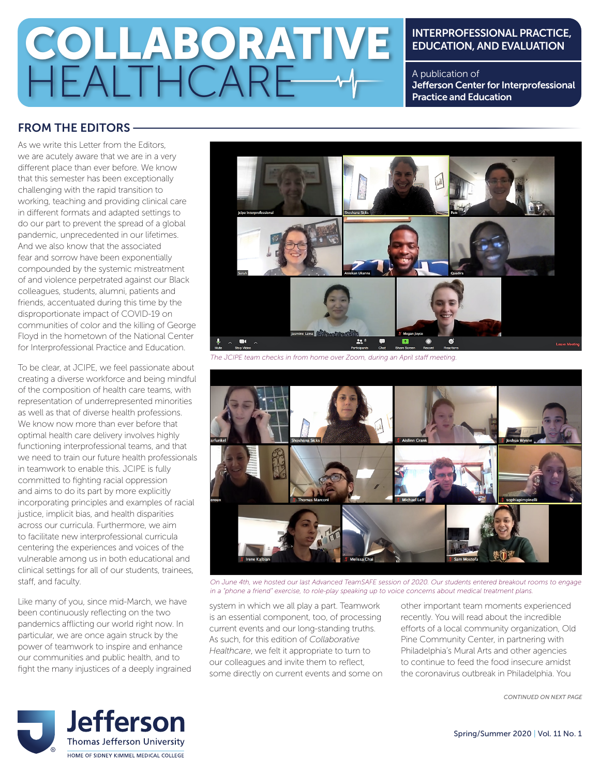# COLLABORATIVE HEALTHCARE

#### INTERPROFESSIONAL PRACTICE, EDUCATION, AND EVALUATION

A publication of Jefferson Center for Interprofessional Practice and Education

### FROM THE EDITORS

As we write this Letter from the Editors, we are acutely aware that we are in a very different place than ever before. We know that this semester has been exceptionally challenging with the rapid transition to working, teaching and providing clinical care in different formats and adapted settings to do our part to prevent the spread of a global pandemic, unprecedented in our lifetimes. And we also know that the associated fear and sorrow have been exponentially compounded by the systemic mistreatment of and violence perpetrated against our Black colleagues, students, alumni, patients and friends, accentuated during this time by the disproportionate impact of COVID-19 on communities of color and the killing of George Floyd in the hometown of the National Center for Interprofessional Practice and Education.

To be clear, at JCIPE, we feel passionate about creating a diverse workforce and being mindful of the composition of health care teams, with representation of underrepresented minorities as well as that of diverse health professions. We know now more than ever before that optimal health care delivery involves highly functioning interprofessional teams, and that we need to train our future health professionals in teamwork to enable this. JCIPE is fully committed to fighting racial oppression and aims to do its part by more explicitly incorporating principles and examples of racial justice, implicit bias, and health disparities across our curricula. Furthermore, we aim to facilitate new interprofessional curricula centering the experiences and voices of the vulnerable among us in both educational and clinical settings for all of our students, trainees, staff, and faculty.

Like many of you, since mid-March, we have been continuously reflecting on the two pandemics afflicting our world right now. In particular, we are once again struck by the power of teamwork to inspire and enhance our communities and public health, and to fight the many injustices of a deeply ingrained



*The JCIPE team checks in from home over Zoom, during an April staff meeting.*



*On June 4th, we hosted our last Advanced TeamSAFE session of 2020. Our students entered breakout rooms to engage in a "phone a friend" exercise, to role-play speaking up to voice concerns about medical treatment plans.*

system in which we all play a part. Teamwork is an essential component, too, of processing current events and our long-standing truths. As such, for this edition of *Collaborative Healthcare*, we felt it appropriate to turn to our colleagues and invite them to reflect, some directly on current events and some on other important team moments experienced recently. You will read about the incredible efforts of a local community organization, Old Pine Community Center, in partnering with Philadelphia's Mural Arts and other agencies to continue to feed the food insecure amidst the coronavirus outbreak in Philadelphia. You

*CONTINUED ON NEXT PAGE*